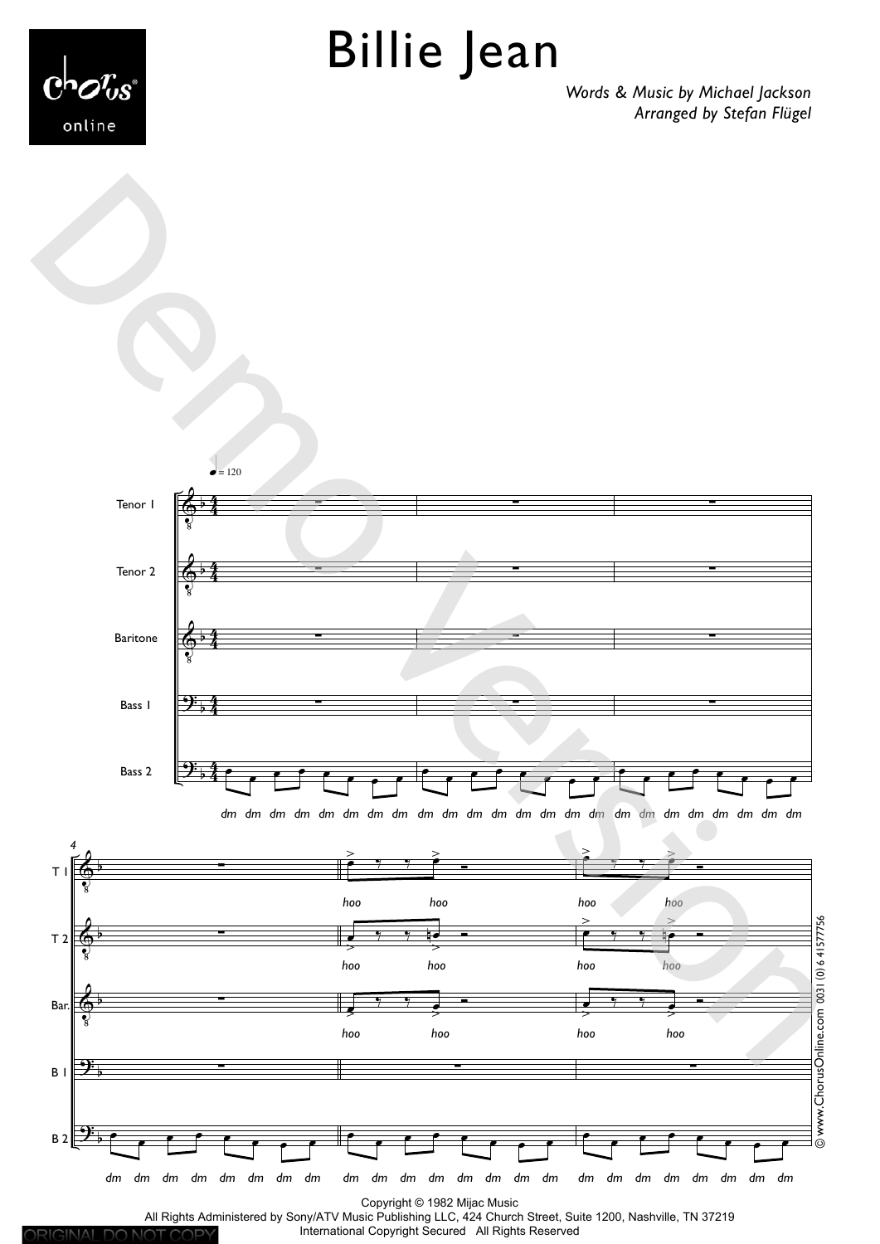

# Billie Jean

*Words & Music by Michael Jackson Arranged by Stefan Flügel*

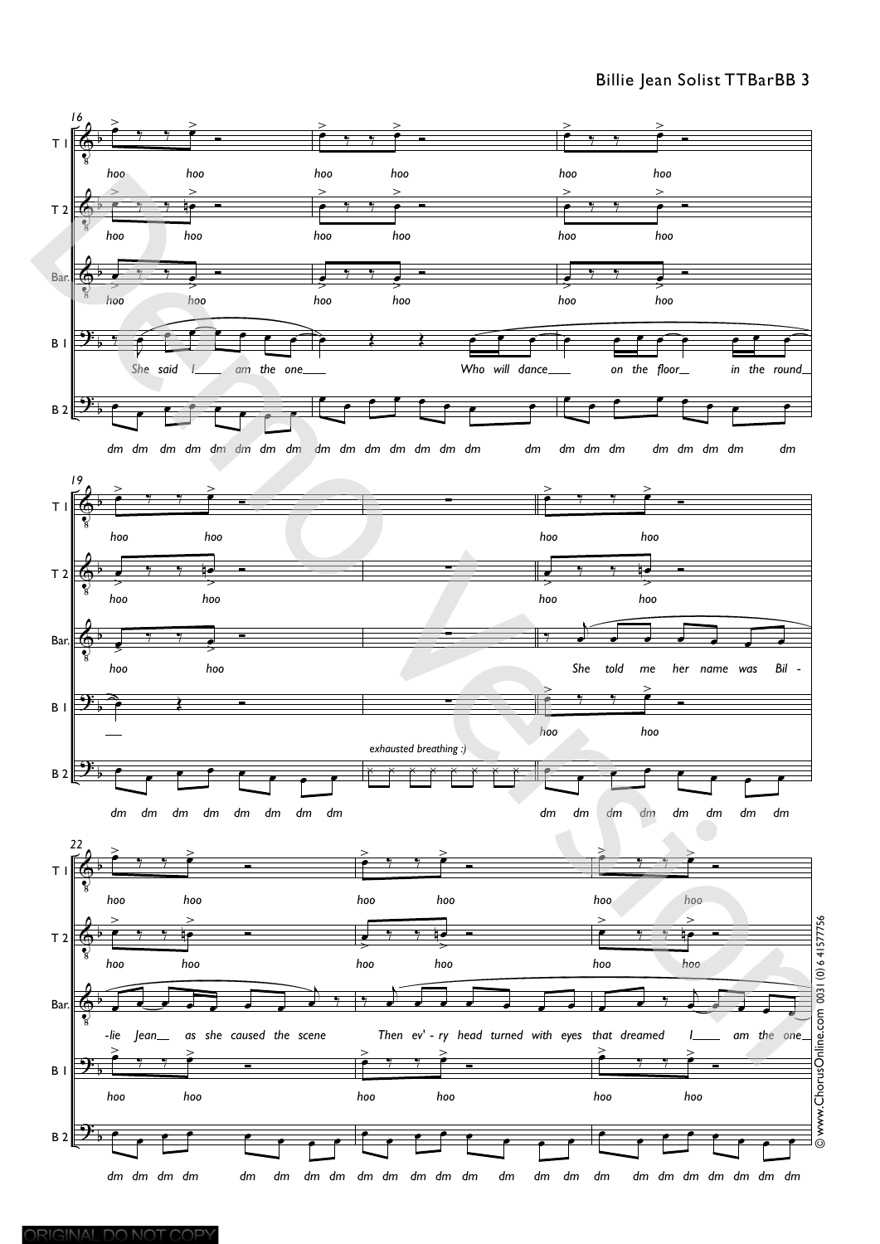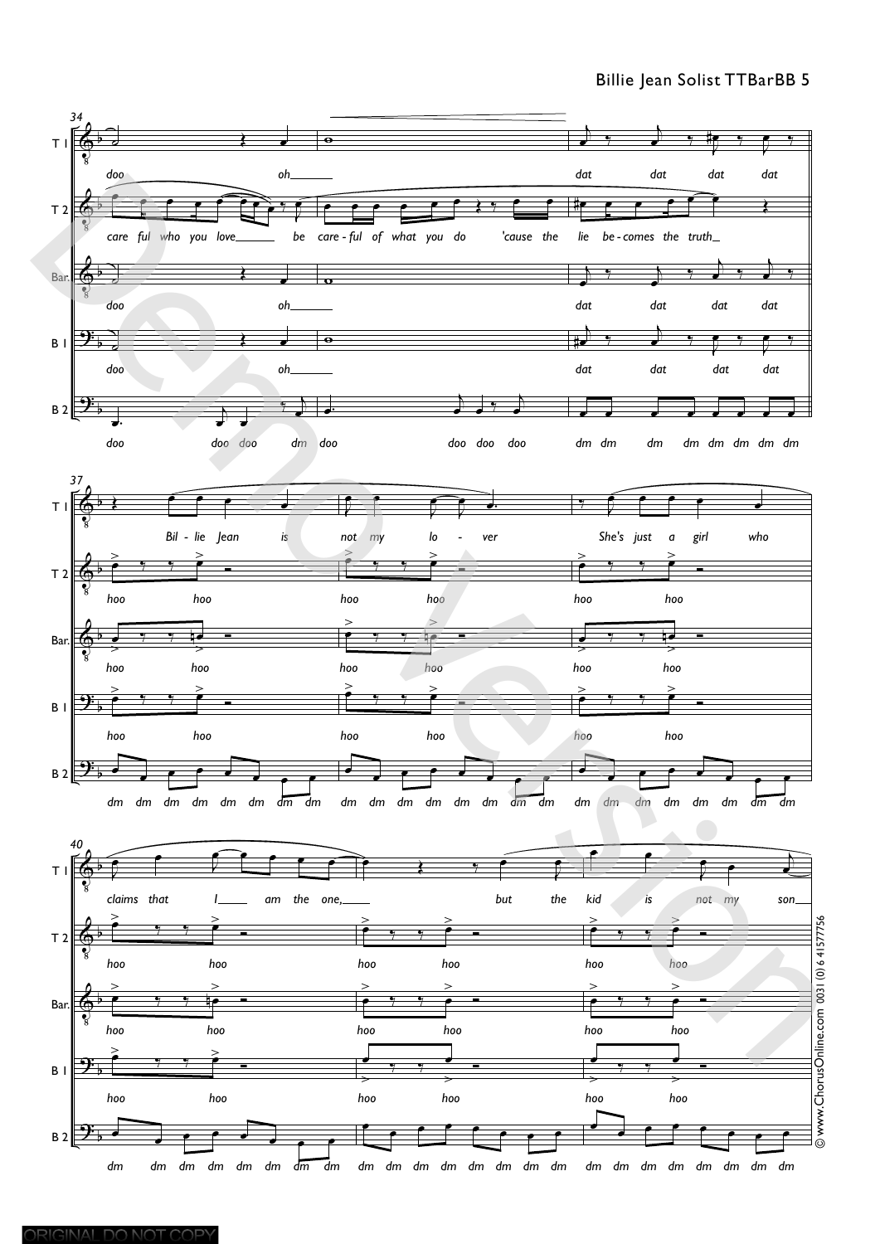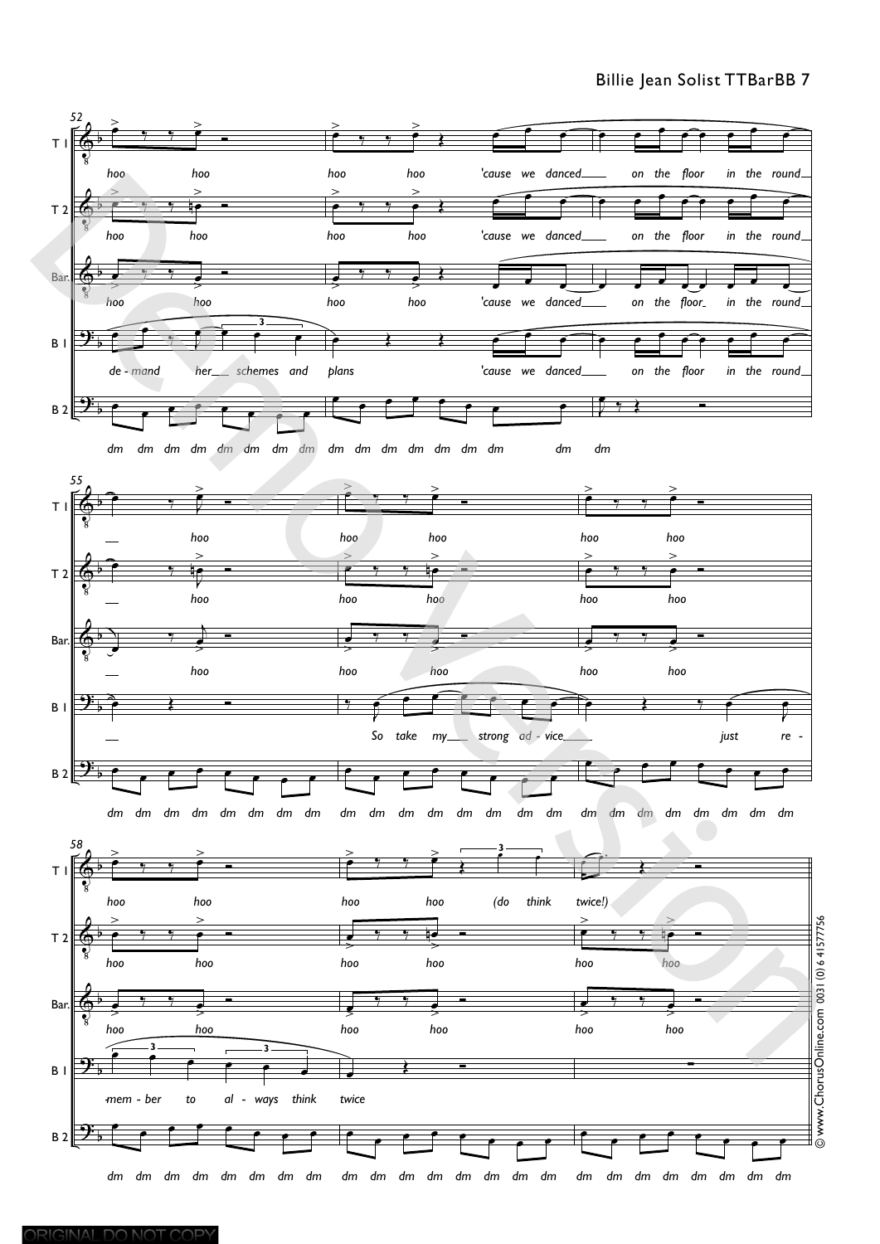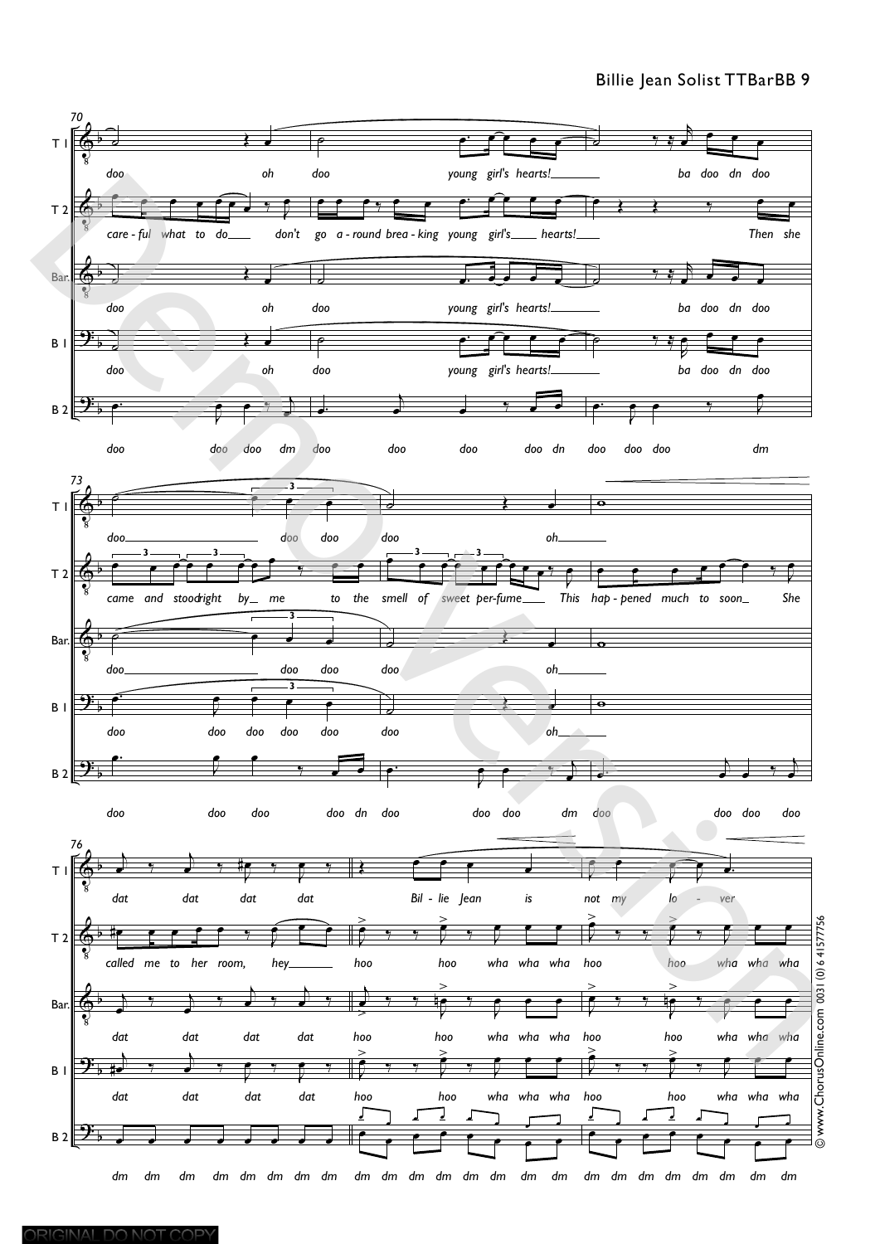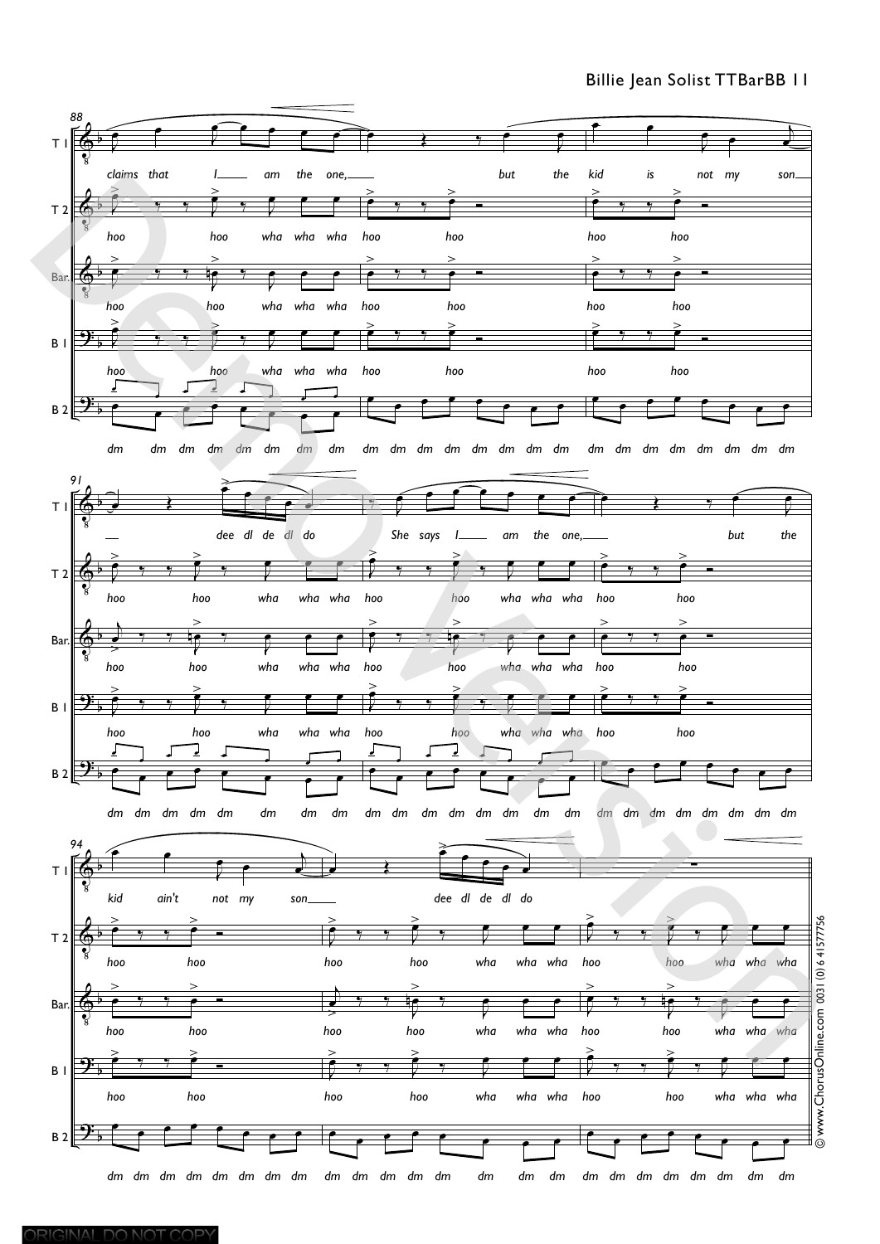

ORIGINAL DO NOT COPY